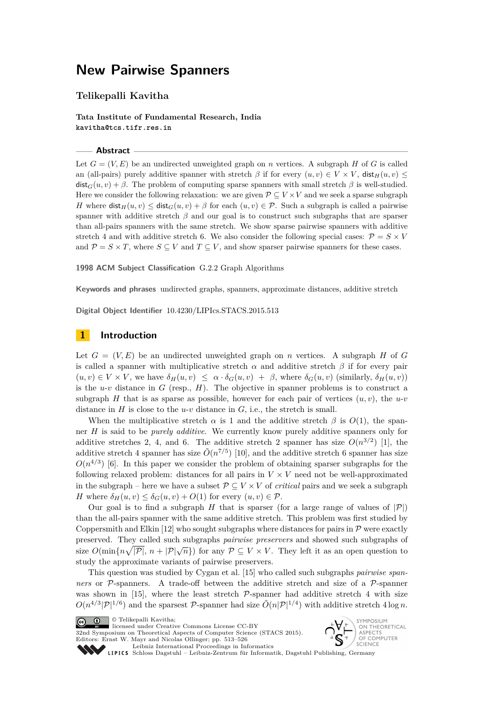## **New Pairwise Spanners**

## **Telikepalli Kavitha**

**Tata Institute of Fundamental Research, India kavitha@tcs.tifr.res.in**

#### **Abstract**

Let  $G = (V, E)$  be an undirected unweighted graph on *n* vertices. A subgraph *H* of *G* is called an (all-pairs) purely additive spanner with stretch  $\beta$  if for every  $(u, v) \in V \times V$ , dist<sub>H</sub> $(u, v) \le$  $dist_G(u, v) + \beta$ . The problem of computing sparse spanners with small stretch  $\beta$  is well-studied. Here we consider the following relaxation: we are given  $P \subseteq V \times V$  and we seek a sparse subgraph *H* where  $\text{dist}_H(u, v) \leq \text{dist}_G(u, v) + \beta$  for each  $(u, v) \in \mathcal{P}$ . Such a subgraph is called a pairwise spanner with additive stretch *β* and our goal is to construct such subgraphs that are sparser than all-pairs spanners with the same stretch. We show sparse pairwise spanners with additive stretch 4 and with additive stretch 6. We also consider the following special cases:  $\mathcal{P} = S \times V$ and  $P = S \times T$ , where  $S \subseteq V$  and  $T \subseteq V$ , and show sparser pairwise spanners for these cases.

**1998 ACM Subject Classification** G.2.2 Graph Algorithms

**Keywords and phrases** undirected graphs, spanners, approximate distances, additive stretch

**Digital Object Identifier** [10.4230/LIPIcs.STACS.2015.513](http://dx.doi.org/10.4230/LIPIcs.STACS.2015.513)

## <span id="page-0-0"></span>**1 Introduction**

Let  $G = (V, E)$  be an undirected unweighted graph on *n* vertices. A subgraph *H* of *G* is called a spanner with multiplicative stretch  $\alpha$  and additive stretch  $\beta$  if for every pair  $(u, v) \in V \times V$ , we have  $\delta_H(u, v) \leq \alpha \cdot \delta_G(u, v) + \beta$ , where  $\delta_G(u, v)$  (similarly,  $\delta_H(u, v)$ ) is the  $u$ -*v* distance in *G* (resp., *H*). The objective in spanner problems is to construct a subgraph *H* that is as sparse as possible, however for each pair of vertices  $(u, v)$ , the  $u$ -*v* distance in  $H$  is close to the  $u$ - $v$  distance in  $G$ , i.e., the stretch is small.

When the multiplicative stretch  $\alpha$  is 1 and the additive stretch  $\beta$  is  $O(1)$ , the spanner *H* is said to be *purely additive*. We currently know purely additive spanners only for additive stretches 2, 4, and 6. The additive stretch 2 spanner has size  $O(n^{3/2})$  [\[1\]](#page-12-0), the additive stretch 4 spanner has size  $\tilde{O}(n^{7/5})$  [\[10\]](#page-12-1), and the additive stretch 6 spanner has size  $O(n^{4/3})$  [\[6\]](#page-12-2). In this paper we consider the problem of obtaining sparser subgraphs for the following relaxed problem: distances for all pairs in  $V \times V$  need not be well-approximated in the subgraph – here we have a subset  $\mathcal{P} \subseteq V \times V$  of *critical* pairs and we seek a subgraph *H* where  $\delta_H(u, v) \leq \delta_G(u, v) + O(1)$  for every  $(u, v) \in \mathcal{P}$ .

Our goal is to find a subgraph *H* that is sparser (for a large range of values of  $|\mathcal{P}|$ ) than the all-pairs spanner with the same additive stretch. This problem was first studied by Coppersmith and Elkin [\[12\]](#page-12-3) who sought subgraphs where distances for pairs in  $\mathcal P$  were exactly preserved. They called such subgraphs *pairwise preservers* and showed such subgraphs of size  $O(\min\{n\sqrt{|\mathcal{P}|}, n + |\mathcal{P}|\sqrt{n}\})$  for any  $\mathcal{P} \subseteq V \times V$ . They left it as an open question to study the approximate variants of pairwise preservers.

This question was studied by Cygan et al. [\[15\]](#page-12-4) who called such subgraphs *pairwise spanners* or P-spanners. A trade-off between the additive stretch and size of a P-spanner was shown in [\[15\]](#page-12-4), where the least stretch  $P$ -spanner had additive stretch 4 with size  $O(n^{4/3}|\mathcal{P}|^{1/6})$  and the sparsest P-spanner had size  $\tilde{O}(n|\mathcal{P}|^{1/4})$  with additive stretch 4 log *n*.



© Telikepalli Kavitha; licensed under Creative Commons License CC-BY

32nd Symposium on Theoretical Aspects of Computer Science (STACS 2015). Editors: Ernst W. Mayr and Nicolas Ollinger; pp. 513[–526](#page-13-0)

**SYMPOSIUM SYMPOSIUM**<br>ST SECTS<br>ST SECOMPUTER



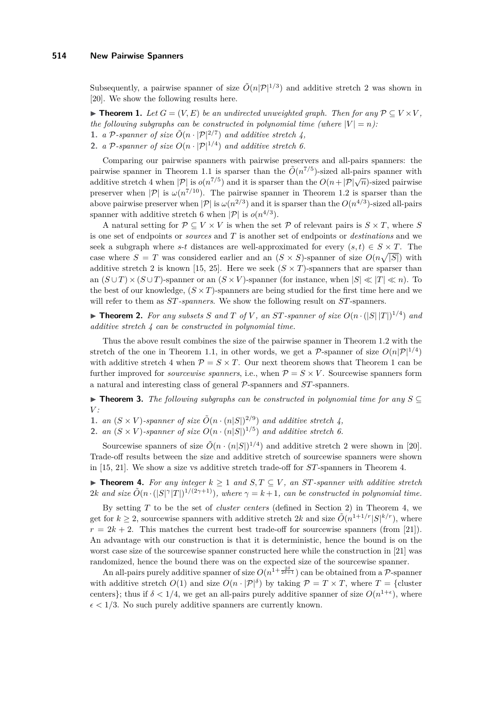Subsequently, a pairwise spanner of size  $\tilde{O}(n|\mathcal{P}|^{1/3})$  and additive stretch 2 was shown in [\[20\]](#page-13-1). We show the following results here.

<span id="page-1-0"></span>▶ **Theorem 1.** Let  $G = (V, E)$  be an undirected unweighted graph. Then for any  $P \subseteq V \times V$ , *the following subgraphs can be constructed in polynomial time (where*  $|V| = n$ ): **1.** *a* P-spanner of size  $\tilde{O}(n \cdot |\mathcal{P}|^{2/7})$  and additive stretch 4, **2.** *a* P-spanner of size  $O(n \cdot |\mathcal{P}|^{1/4})$  and additive stretch 6.

Comparing our pairwise spanners with pairwise preservers and all-pairs spanners: the pairwise spanner in Theorem [1.](#page-1-0)1 is sparser than the  $\tilde{O}(n^{7/5})$ -sized all-pairs spanner with pairwise spanner in Theorem 1.1 is sparser than the  $O(n + |P| \sqrt{n})$ -sized pairwise<br>additive stretch 4 when  $|P|$  is  $o(n^{7/5})$  and it is sparser than the  $O(n + |P| \sqrt{n})$ -sized pairwise preserver when  $|\mathcal{P}|$  is  $\omega(n^{7/10})$ . The pairwise spanner in Theorem [1.](#page-1-0)2 is sparser than the above pairwise preserver when  $|\mathcal{P}|$  is  $\omega(n^{2/3})$  and it is sparser than the  $O(n^{4/3})$ -sized all-pairs spanner with additive stretch 6 when  $|\mathcal{P}|$  is  $o(n^{4/3})$ .

A natural setting for  $\mathcal{P} \subseteq V \times V$  is when the set  $\mathcal{P}$  of relevant pairs is  $S \times T$ , where *S* is one set of endpoints or *sources* and *T* is another set of endpoints or *destinations* and we seek a subgraph where *s*-*t* distances are well-approximated for every  $(s, t) \in S \times T$ . The case where  $S = T$  was considered earlier and an  $(S \times S)$ -spanner of size  $O(n\sqrt{|S|})$  with additive stretch 2 is known [\[15,](#page-12-4) [25\]](#page-13-2). Here we seek  $(S \times T)$ -spanners that are sparser than an  $(S \cup T) \times (S \cup T)$ -spanner or an  $(S \times V)$ -spanner (for instance, when  $|S| \ll |T| \ll n$ ). To the best of our knowledge,  $(S \times T)$ -spanners are being studied for the first time here and we will refer to them as *ST-spanners*. We show the following result on *ST*-spanners.

<span id="page-1-2"></span> $\blacktriangleright$  **Theorem 2.** For any subsets S and T of V, an ST-spanner of size  $O(n \cdot (|S||T|)^{1/4})$  and *additive stretch 4 can be constructed in polynomial time.*

Thus the above result combines the size of the pairwise spanner in Theorem [1.](#page-1-0)2 with the stretch of the one in Theorem [1.](#page-1-0)1, in other words, we get a P-spanner of size  $O(n|\mathcal{P}|^{1/4})$ with additive stretch 4 when  $\mathcal{P} = S \times T$ . Our next theorem shows that Theorem [1](#page-1-0) can be further improved for *sourcewise spanners*, i.e., when  $P = S \times V$ . Sourcewise spanners form a natural and interesting class of general P-spanners and *ST*-spanners.

<span id="page-1-3"></span>**► Theorem 3.** The following subgraphs can be constructed in polynomial time for any  $S \subseteq$ *V :*

**1.** *an*  $(S \times V)$ -spanner of size  $\tilde{O}(n \cdot (n|S|)^{2/9})$  and additive stretch 4,

**2.** *an*  $(S \times V)$ -spanner of size  $O(n \cdot (n|S|)^{1/5})$  and additive stretch 6.

Sourcewise spanners of size  $\tilde{O}(n \cdot (n|S|)^{1/4})$  and additive stretch 2 were shown in [\[20\]](#page-13-1). Trade-off results between the size and additive stretch of sourcewise spanners were shown in [\[15,](#page-12-4) [21\]](#page-13-3). We show a size vs additive stretch trade-off for *ST*-spanners in Theorem [4.](#page-1-1)

<span id="page-1-1"></span>▶ **Theorem 4.** For any integer  $k \ge 1$  and  $S, T \subseteq V$ , an  $ST$ -spanner with additive stretch 2*k* and size  $\tilde{O}(n \cdot (|S|\gamma|T|)^{1/(2\gamma+1)})$ , where  $\gamma = k+1$ , can be constructed in polynomial time.

By setting *T* to be the set of *cluster centers* (defined in Section [2\)](#page-3-0) in Theorem [4,](#page-1-1) we get for  $k \geq 2$ , sourcewise spanners with additive stretch 2*k* and size  $\tilde{O}(n^{1+1/r}|S|^{k/r})$ , where  $r = 2k + 2$ . This matches the current best trade-off for sourcewise spanners (from [\[21\]](#page-13-3)). An advantage with our construction is that it is deterministic, hence the bound is on the worst case size of the sourcewise spanner constructed here while the construction in [\[21\]](#page-13-3) was randomized, hence the bound there was on the expected size of the sourcewise spanner.

An all-pairs purely additive spanner of size  $O(n^{1+\frac{2\delta}{2\delta+1}})$  can be obtained from a P-spanner with additive stretch  $O(1)$  and size  $O(n \cdot |\mathcal{P}|^{\delta})$  by taking  $\mathcal{P} = T \times T$ , where  $T = \{\text{cluster}$ centers}; thus if  $\delta < 1/4$ , we get an all-pairs purely additive spanner of size  $O(n^{1+\epsilon})$ , where  $\epsilon$  < 1/3. No such purely additive spanners are currently known.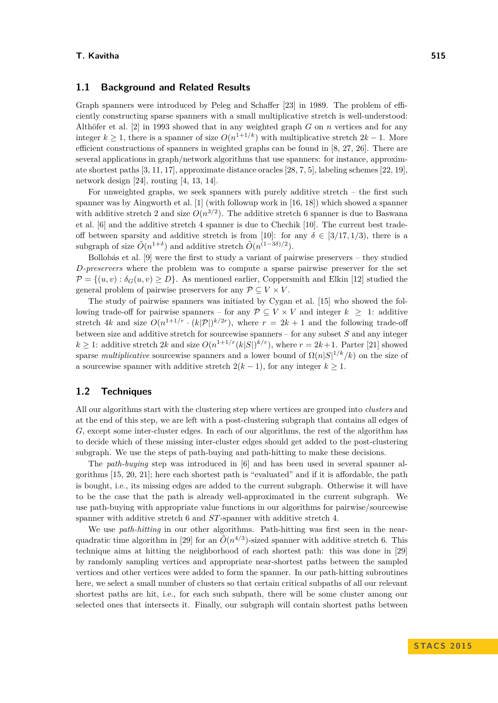#### **T. Kavitha 515**

#### **1.1 Background and Related Results**

Graph spanners were introduced by Peleg and Schaffer [\[23\]](#page-13-4) in 1989. The problem of efficiently constructing sparse spanners with a small multiplicative stretch is well-understood: Althöfer et al. [\[2\]](#page-12-5) in 1993 showed that in any weighted graph *G* on *n* vertices and for any integer  $k \geq 1$ , there is a spanner of size  $O(n^{1+1/k})$  with multiplicative stretch  $2k-1$ . More efficient constructions of spanners in weighted graphs can be found in [\[8,](#page-12-6) [27,](#page-13-5) [26\]](#page-13-6). There are several applications in graph/network algorithms that use spanners: for instance, approximate shortest paths [\[3,](#page-12-7) [11,](#page-12-8) [17\]](#page-12-9), approximate distance oracles [\[28,](#page-13-7) [7,](#page-12-10) [5\]](#page-12-11), labeling schemes [\[22,](#page-13-8) [19\]](#page-12-12), network design [\[24\]](#page-13-9), routing [\[4,](#page-12-13) [13,](#page-12-14) [14\]](#page-12-15).

For unweighted graphs, we seek spanners with purely additive stretch – the first such spanner was by Aingworth et al. [\[1\]](#page-12-0) (with followup work in [\[16,](#page-12-16) [18\]](#page-12-17)) which showed a spanner with additive stretch 2 and size  $O(n^{3/2})$ . The additive stretch 6 spanner is due to Baswana et al. [\[6\]](#page-12-2) and the additive stretch 4 spanner is due to Chechik [\[10\]](#page-12-1). The current best trade-off between sparsity and additive stretch is from [\[10\]](#page-12-1): for any  $\delta \in [3/17, 1/3)$ , there is a subgraph of size  $\tilde{O}(n^{1+\delta})$  and additive stretch  $\tilde{O}(n^{(1-3\delta)/2})$ .

Bollobás et al. [\[9\]](#page-12-18) were the first to study a variant of pairwise preservers – they studied *D-preservers* where the problem was to compute a sparse pairwise preserver for the set  $\mathcal{P} = \{(u, v): \delta_G(u, v) \geq D\}$ . As mentioned earlier, Coppersmith and Elkin [\[12\]](#page-12-3) studied the general problem of pairwise preservers for any  $\mathcal{P} \subseteq V \times V$ .

The study of pairwise spanners was initiated by Cygan et al. [\[15\]](#page-12-4) who showed the following trade-off for pairwise spanners – for any  $\mathcal{P} \subseteq V \times V$  and integer  $k \geq 1$ : additive stretch 4*k* and size  $O(n^{1+1/r} \cdot (k|\mathcal{P}|)^{k/2r})$ , where  $r = 2k+1$  and the following trade-off between size and additive stretch for sourcewise spanners – for any subset *S* and any integer  $k \geq 1$ : additive stretch 2*k* and size  $O(n^{1+1/r}(k|S|)^{k/r})$ , where  $r = 2k+1$ . Parter [\[21\]](#page-13-3) showed sparse *multiplicative* sourcewise spanners and a lower bound of  $\Omega(n|S|^{1/k}/k)$  on the size of a sourcewise spanner with additive stretch  $2(k-1)$ , for any integer  $k \geq 1$ .

### **1.2 Techniques**

All our algorithms start with the clustering step where vertices are grouped into *clusters* and at the end of this step, we are left with a post-clustering subgraph that contains all edges of *G*, except some inter-cluster edges. In each of our algorithms, the rest of the algorithm has to decide which of these missing inter-cluster edges should get added to the post-clustering subgraph. We use the steps of path-buying and path-hitting to make these decisions.

The *path-buying* step was introduced in [\[6\]](#page-12-2) and has been used in several spanner algorithms [\[15,](#page-12-4) [20,](#page-13-1) [21\]](#page-13-3); here each shortest path is "evaluated" and if it is affordable, the path is bought, i.e., its missing edges are added to the current subgraph. Otherwise it will have to be the case that the path is already well-approximated in the current subgraph. We use path-buying with appropriate value functions in our algorithms for pairwise/sourcewise spanner with additive stretch 6 and *ST*-spanner with additive stretch 4.

We use *path-hitting* in our other algorithms. Path-hitting was first seen in the near-quadratic time algorithm in [\[29\]](#page-13-10) for an  $\tilde{O}(n^{4/3})$ -sized spanner with additive stretch 6. This technique aims at hitting the neighborhood of each shortest path: this was done in [\[29\]](#page-13-10) by randomly sampling vertices and appropriate near-shortest paths between the sampled vertices and other vertices were added to form the spanner. In our path-hitting subroutines here, we select a small number of clusters so that certain critical subpaths of all our relevant shortest paths are hit, i.e., for each such subpath, there will be some cluster among our selected ones that intersects it. Finally, our subgraph will contain shortest paths between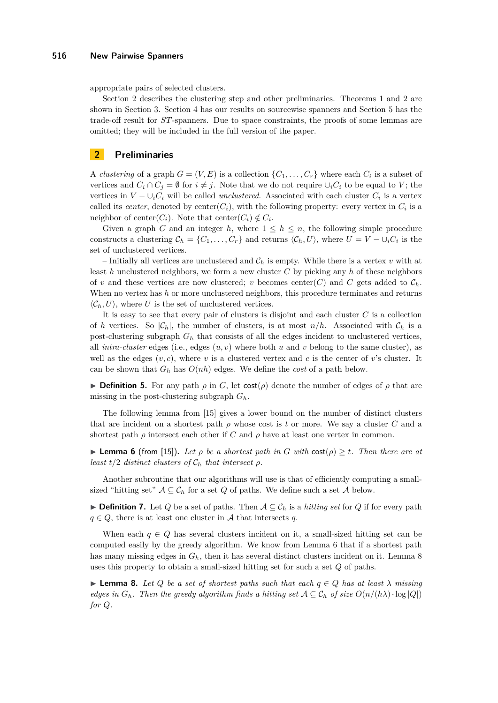#### **516 New Pairwise Spanners**

appropriate pairs of selected clusters.

Section [2](#page-3-0) describes the clustering step and other preliminaries. Theorems [1](#page-1-0) and [2](#page-1-2) are shown in Section [3.](#page-4-0) Section [4](#page-8-0) has our results on sourcewise spanners and Section [5](#page-10-0) has the trade-off result for *ST*-spanners. Due to space constraints, the proofs of some lemmas are omitted; they will be included in the full version of the paper.

## <span id="page-3-0"></span>**2 Preliminaries**

A *clustering* of a graph  $G = (V, E)$  is a collection  $\{C_1, \ldots, C_r\}$  where each  $C_i$  is a subset of vertices and  $C_i \cap C_j = \emptyset$  for  $i \neq j$ . Note that we do not require  $\cup_i C_i$  to be equal to *V*; the vertices in  $V - \bigcup_i C_i$  will be called *unclustered*. Associated with each cluster  $C_i$  is a vertex called its *center*, denoted by  $\text{center}(C_i)$ , with the following property: every vertex in  $C_i$  is a neighbor of center( $C_i$ ). Note that center( $C_i$ )  $\notin C_i$ .

Given a graph *G* and an integer *h*, where  $1 \leq h \leq n$ , the following simple procedure constructs a clustering  $C_h = \{C_1, \ldots, C_r\}$  and returns  $\langle C_h, U \rangle$ , where  $U = V - \cup_i C_i$  is the set of unclustered vertices.

– Initially all vertices are unclustered and  $\mathcal{C}_h$  is empty. While there is a vertex  $v$  with at least *h* unclustered neighbors, we form a new cluster *C* by picking any *h* of these neighbors of *v* and these vertices are now clustered; *v* becomes center(*C*) and *C* gets added to  $\mathcal{C}_h$ . When no vertex has *h* or more unclustered neighbors, this procedure terminates and returns  $\langle C_h, U \rangle$ , where *U* is the set of unclustered vertices.

It is easy to see that every pair of clusters is disjoint and each cluster *C* is a collection of *h* vertices. So  $|\mathcal{C}_h|$ , the number of clusters, is at most  $n/h$ . Associated with  $\mathcal{C}_h$  is a post-clustering subgraph  $G_h$  that consists of all the edges incident to unclustered vertices, all *intra-cluster* edges (i.e., edges  $(u, v)$  where both  $u$  and  $v$  belong to the same cluster), as well as the edges  $(v, c)$ , where *v* is a clustered vertex and *c* is the center of *v*'s cluster. It can be shown that  $G_h$  has  $O(nh)$  edges. We define the *cost* of a path below.

**If Definition 5.** For any path  $\rho$  in *G*, let cost( $\rho$ ) denote the number of edges of  $\rho$  that are missing in the post-clustering subgraph *Gh*.

The following lemma from [\[15\]](#page-12-4) gives a lower bound on the number of distinct clusters that are incident on a shortest path  $\rho$  whose cost is *t* or more. We say a cluster *C* and a shortest path  $\rho$  intersect each other if *C* and  $\rho$  have at least one vertex in common.

<span id="page-3-1"></span>**Lemma 6** (from [\[15\]](#page-12-4)). Let  $\rho$  be a shortest path in G with  $\cos(\rho) \geq t$ . Then there are at *least*  $t/2$  *distinct clusters of*  $C_h$  *that intersect*  $\rho$ *.* 

Another subroutine that our algorithms will use is that of efficiently computing a smallsized "hitting set"  $A \subseteq \mathcal{C}_h$  for a set *Q* of paths. We define such a set *A* below.

**► Definition 7.** Let *Q* be a set of paths. Then  $A ⊆ C_h$  is a *hitting set* for *Q* if for every path  $q \in Q$ , there is at least one cluster in A that intersects q.

When each  $q \in Q$  has several clusters incident on it, a small-sized hitting set can be computed easily by the greedy algorithm. We know from Lemma [6](#page-3-1) that if a shortest path has many missing edges in *Gh*, then it has several distinct clusters incident on it. Lemma [8](#page-3-2) uses this property to obtain a small-sized hitting set for such a set *Q* of paths.

<span id="page-3-2"></span>**► Lemma 8.** Let *Q* be a set of shortest paths such that each  $q \in Q$  has at least  $\lambda$  missing *edges in*  $G_h$ *. Then the greedy algorithm finds a hitting set*  $A \subseteq C_h$  *of size*  $O(n/(h\lambda) \cdot \log |Q|)$ *for Q.*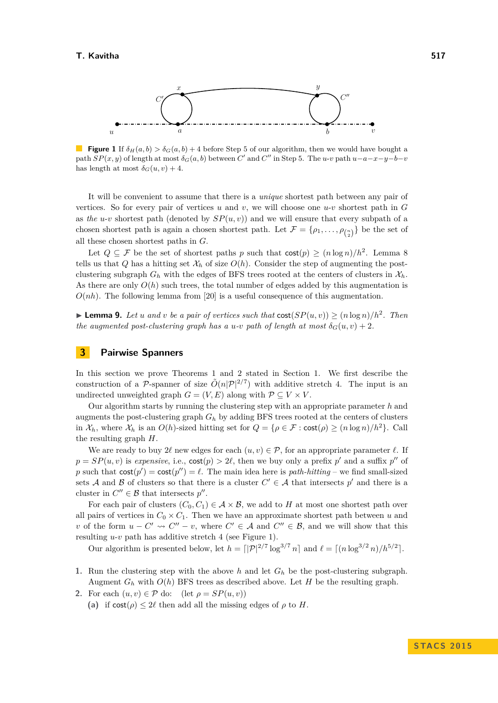<span id="page-4-1"></span>

**Figure 1** If  $\delta_H(a, b) > \delta_G(a, b) + 4$  before Step 5 of our algorithm, then we would have bought a path  $SP(x, y)$  of length at most  $\delta_G(a, b)$  between  $C'$  and  $C''$  in Step 5. The *u*-*v* path  $u-a-x-y-b-v$ has length at most  $\delta_G(u, v) + 4$ .

It will be convenient to assume that there is a *unique* shortest path between any pair of vertices. So for every pair of vertices  $u$  and  $v$ , we will choose one  $u$ - $v$  shortest path in  $G$ as *the u-v* shortest path (denoted by  $SP(u, v)$ ) and we will ensure that every subpath of a chosen shortest path is again a chosen shortest path. Let  $\mathcal{F} = \{\rho_1, \ldots, \rho_{\binom{n}{2}}\}$  be the set of all these chosen shortest paths in *G*.

Let  $Q \subseteq \mathcal{F}$  be the set of shortest paths p such that  $\text{cost}(p) \geq (n \log n)/h^2$ . Lemma [8](#page-3-2) tells us that *Q* has a hitting set  $\mathcal{X}_h$  of size  $O(h)$ . Consider the step of augmenting the postclustering subgraph  $G_h$  with the edges of BFS trees rooted at the centers of clusters in  $\mathcal{X}_h$ . As there are only  $O(h)$  such trees, the total number of edges added by this augmentation is  $O(nh)$ . The following lemma from [\[20\]](#page-13-1) is a useful consequence of this augmentation.

<span id="page-4-2"></span>▶ **Lemma 9.** *Let u and v be a pair of vertices such that*  $cost(SP(u, v)) \geq (n \log n)/h^2$ . *Then the augmented post-clustering graph has a <i>u*-*v path of length at most*  $\delta_G(u, v) + 2$ *.* 

## <span id="page-4-0"></span>**3 Pairwise Spanners**

In this section we prove Theorems [1](#page-1-0) and [2](#page-1-2) stated in Section [1.](#page-0-0) We first describe the construction of a P-spanner of size  $\tilde{O}(n|\mathcal{P}|^{2/7})$  with additive stretch 4. The input is an undirected unweighted graph  $G = (V, E)$  along with  $P \subseteq V \times V$ .

Our algorithm starts by running the clustering step with an appropriate parameter *h* and augments the post-clustering graph *G<sup>h</sup>* by adding BFS trees rooted at the centers of clusters in  $\mathcal{X}_h$ , where  $\mathcal{X}_h$  is an  $O(h)$ -sized hitting set for  $Q = \{ \rho \in \mathcal{F} : \text{cost}(\rho) \geq (n \log n)/h^2 \}.$  Call the resulting graph *H*.

We are ready to buy  $2\ell$  new edges for each  $(u, v) \in \mathcal{P}$ , for an appropriate parameter  $\ell$ . If  $p = SP(u, v)$  is *expensive*, i.e.,  $cost(p) > 2\ell$ , then we buy only a prefix  $p'$  and a suffix  $p''$  of p such that  $cost(p') = cost(p'') = \ell$ . The main idea here is *path-hitting* – we find small-sized sets A and B of clusters so that there is a cluster  $C' \in \mathcal{A}$  that intersects  $p'$  and there is a cluster in  $C'' \in \mathcal{B}$  that intersects  $p''$ .

For each pair of clusters  $(C_0, C_1) \in \mathcal{A} \times \mathcal{B}$ , we add to *H* at most one shortest path over all pairs of vertices in  $C_0 \times C_1$ . Then we have an approximate shortest path between *u* and *v* of the form  $u - C' \leadsto C'' - v$ , where  $C' \in \mathcal{A}$  and  $C'' \in \mathcal{B}$ , and we will show that this resulting *u*-*v* path has additive stretch 4 (see Figure [1\)](#page-4-1).

Our algorithm is presented below, let  $h = \frac{q}{2^{7}} \log^{3/7} n$  and  $\ell = \frac{q}{\log^{3/2} n} / h^{5/2}$ .

- **1.** Run the clustering step with the above *h* and let *G<sup>h</sup>* be the post-clustering subgraph. Augment  $G_h$  with  $O(h)$  BFS trees as described above. Let  $H$  be the resulting graph.
- **2.** For each  $(u, v) \in \mathcal{P}$  do:  $(\text{let } \rho = SP(u, v))$ 
	- (a) if  $\text{cost}(\rho) \leq 2\ell$  then add all the missing edges of  $\rho$  to *H*.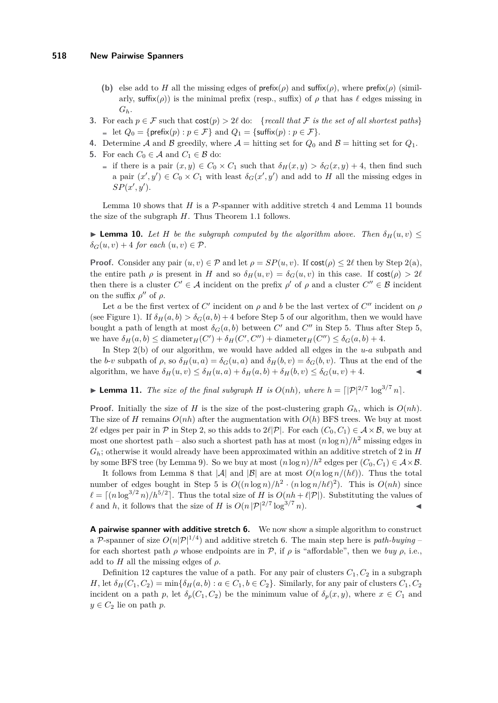- **(b)** else add to *H* all the missing edges of  $\text{prefix}(p)$  and  $\text{suffix}(p)$ , where  $\text{prefix}(p)$  (similarly, suffix( $\rho$ )) is the minimal prefix (resp., suffix) of  $\rho$  that has  $\ell$  edges missing in *Gh*.
- **3.** For each  $p \in \mathcal{F}$  such that  $\text{cost}(p) > 2\ell$  do: {*recall that*  $\mathcal{F}$  *is the set of all shortest paths*} let  $Q_0 = \{\text{prefix}(p) : p \in \mathcal{F}\}\$ and  $Q_1 = \{\text{suffix}(p) : p \in \mathcal{F}\}.$
- **4.** Determine A and B greedily, where  $A =$  hitting set for  $Q_0$  and  $B =$  hitting set for  $Q_1$ .
- **5.** For each  $C_0 \in \mathcal{A}$  and  $C_1 \in \mathcal{B}$  do:
	- if there is a pair  $(x, y) \in C_0 \times C_1$  such that  $\delta_H(x, y) > \delta_G(x, y) + 4$ , then find such a pair  $(x', y') \in C_0 \times C_1$  with least  $\delta_G(x', y')$  and add to *H* all the missing edges in  $SP(x', y')$ .

Lemma [10](#page-5-0) shows that  $H$  is a  $\mathcal{P}$ -spanner with additive stretch 4 and Lemma [11](#page-5-1) bounds the size of the subgraph *H*. Thus Theorem [1.](#page-1-0)1 follows.

<span id="page-5-0"></span>**Lemma 10.** Let H be the subgraph computed by the algorithm above. Then  $\delta_H(u, v)$   $\leq$  $\delta_G(u, v) + 4$  *for each*  $(u, v) \in \mathcal{P}$ .

**Proof.** Consider any pair  $(u, v) \in \mathcal{P}$  and let  $\rho = SP(u, v)$ . If  $cost(\rho) \leq 2\ell$  then by Step 2(a), the entire path  $\rho$  is present in *H* and so  $\delta_H(u, v) = \delta_G(u, v)$  in this case. If  $\cosh(\rho) > 2\ell$ then there is a cluster  $C' \in \mathcal{A}$  incident on the prefix  $\rho'$  of  $\rho$  and a cluster  $C'' \in \mathcal{B}$  incident on the suffix  $\rho''$  of  $\rho$ .

Let *a* be the first vertex of *C*' incident on  $\rho$  and *b* be the last vertex of *C*" incident on  $\rho$ (see Figure [1\)](#page-4-1). If  $\delta_H(a, b) > \delta_G(a, b) + 4$  before Step 5 of our algorithm, then we would have bought a path of length at most  $\delta_G(a, b)$  between  $C'$  and  $C''$  in Step 5. Thus after Step 5, we have  $\delta_H(a, b) \leq$  diameter<sub>H</sub>(*C'*) +  $\delta_H(C', C'')$  + diameter<sub>H</sub>(*C''*)  $\leq \delta_G(a, b) + 4$ .

In Step 2(b) of our algorithm, we would have added all edges in the *u*-*a* subpath and the *b*-*v* subpath of  $\rho$ , so  $\delta_H(u, a) = \delta_G(u, a)$  and  $\delta_H(b, v) = \delta_G(b, v)$ . Thus at the end of the algorithm, we have  $\delta_H(u, v) \leq \delta_H(u, a) + \delta_H(a, b) + \delta_H(b, v) \leq \delta_G(u, v) + 4$ .

<span id="page-5-1"></span>**Example 11.** The size of the final subgraph *H* is  $O(nh)$ , where  $h = \frac{|\mathcal{P}|^{2/7}}{\log^{3/7} n}$ .

**Proof.** Initially the size of *H* is the size of the post-clustering graph  $G_h$ , which is  $O(nh)$ . The size of *H* remains  $O(nh)$  after the augmentation with  $O(h)$  BFS trees. We buy at most 2 $\ell$  edges per pair in P in Step 2, so this adds to  $2\ell|\mathcal{P}|$ . For each  $(C_0, C_1) \in \mathcal{A} \times \mathcal{B}$ , we buy at most one shortest path – also such a shortest path has at most  $(n \log n)/h^2$  missing edges in *Gh*; otherwise it would already have been approximated within an additive stretch of 2 in *H* by some BFS tree (by Lemma [9\)](#page-4-2). So we buy at most  $(n \log n)/h^2$  edges per  $(C_0, C_1) \in \mathcal{A} \times \mathcal{B}$ .

It follows from Lemma [8](#page-3-2) that  $|\mathcal{A}|$  and  $|\mathcal{B}|$  are at most  $O(n \log n/(h\ell))$ . Thus the total number of edges bought in Step 5 is  $O((n \log n)/h^2 \cdot (n \log n/h\ell)^2)$ . This is  $O(nh)$  since  $\ell = \lceil (n \log^{3/2} n)/h^{5/2} \rceil$ . Thus the total size of *H* is  $O(nh + \ell |P|)$ . Substituting the values of l and *h*, it follows that the size of *H* is  $O(n |P|^{2/7} \log^{3/7} n)$ .

**A pairwise spanner with additive stretch 6.** We now show a simple algorithm to construct a P-spanner of size  $O(n|\mathcal{P}|^{1/4})$  and additive stretch 6. The main step here is *path-buying* – for each shortest path  $\rho$  whose endpoints are in  $\mathcal{P}$ , if  $\rho$  is "affordable", then we *buy*  $\rho$ , i.e., add to  $H$  all the missing edges of  $\rho$ .

Definition [12](#page-6-0) captures the value of a path. For any pair of clusters  $C_1, C_2$  in a subgraph *H*, let  $\delta_H(C_1, C_2) = \min\{\delta_H(a, b) : a \in C_1, b \in C_2\}$ . Similarly, for any pair of clusters  $C_1, C_2$ incident on a path *p*, let  $\delta_p(C_1, C_2)$  be the minimum value of  $\delta_p(x, y)$ , where  $x \in C_1$  and  $y \in C_2$  lie on path *p*.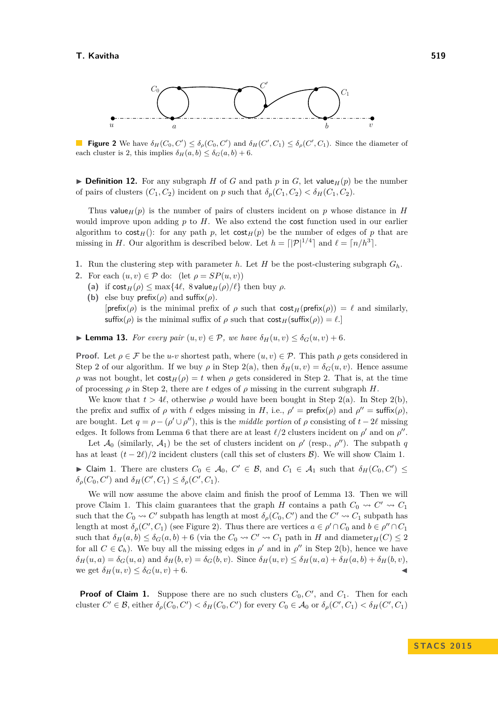<span id="page-6-3"></span>

**Figure 2** We have  $\delta_H(C_0, C') \leq \delta_\rho(C_0, C')$  and  $\delta_H(C', C_1) \leq \delta_\rho(C', C_1)$ . Since the diameter of each cluster is 2, this implies  $\delta_H(a, b) \leq \delta_G(a, b) + 6$ .

<span id="page-6-0"></span> $\triangleright$  **Definition 12.** For any subgraph *H* of *G* and path *p* in *G*, let value<sub>*H*</sub>(*p*) be the number of pairs of clusters  $(C_1, C_2)$  incident on *p* such that  $\delta_p(C_1, C_2) < \delta_f(C_1, C_2)$ .

Thus value<sub>H</sub> $(p)$  is the number of pairs of clusters incident on *p* whose distance in *H* would improve upon adding *p* to *H*. We also extend the cost function used in our earlier algorithm to  $\text{cost}_H()$ : for any path *p*, let  $\text{cost}_H(p)$  be the number of edges of *p* that are missing in *H*. Our algorithm is described below. Let  $h = \lfloor |\mathcal{P}|^{1/4} \rfloor$  and  $\ell = \lceil n/h^3 \rceil$ .

- **1.** Run the clustering step with parameter *h*. Let *H* be the post-clustering subgraph  $G_h$ .
- **2.** For each  $(u, v) \in \mathcal{P}$  do: (let  $\rho = SP(u, v)$ )
	- (a) if  $\text{cost}_H(\rho) \le \max\{4\ell, 8 \text{ value}_H(\rho)/\ell\}$  then buy  $\rho$ .
	- **(b)** else buy prefix( $\rho$ ) and suffix( $\rho$ ).  $[\text{prefix}(\rho)]$  is the minimal prefix of  $\rho$  such that  $\text{cost}_H(\text{prefix}(\rho)) = \ell$  and similarly, suffix( $\rho$ ) is the minimal suffix of  $\rho$  such that  $\text{cost}_H(\text{suffix}(\rho)) = \ell$ .]

<span id="page-6-2"></span>► **Lemma 13.** *For every pair*  $(u, v) \in \mathcal{P}$ *, we have*  $\delta_H(u, v) \leq \delta_G(u, v) + 6$ *.* 

**Proof.** Let  $\rho \in \mathcal{F}$  be the *u*-*v* shortest path, where  $(u, v) \in \mathcal{P}$ . This path  $\rho$  gets considered in Step 2 of our algorithm. If we buy  $\rho$  in Step 2(a), then  $\delta_H(u, v) = \delta_G(u, v)$ . Hence assume *ρ* was not bought, let  $cost_H(\rho) = t$  when *ρ* gets considered in Step 2. That is, at the time of processing  $\rho$  in Step 2, there are t edges of  $\rho$  missing in the current subgraph *H*.

We know that  $t > 4\ell$ , otherwise  $\rho$  would have been bought in Step 2(a). In Step 2(b), the prefix and suffix of  $\rho$  with  $\ell$  edges missing in *H*, i.e.,  $\rho' = \text{prefix}(\rho)$  and  $\rho'' = \text{suffix}(\rho)$ , are bought. Let  $q = \rho - (\rho' \cup \rho'')$ , this is the *middle portion* of  $\rho$  consisting of  $t - 2\ell$  missing edges. It follows from Lemma [6](#page-3-1) that there are at least  $\ell/2$  clusters incident on  $\rho'$  and on  $\rho''$ .

Let  $\mathcal{A}_0$  (similarly,  $\mathcal{A}_1$ ) be the set of clusters incident on  $\rho'$  (resp.,  $\rho''$ ). The subpath *q* has at least  $(t - 2\ell)/2$  incident clusters (call this set of clusters  $\mathcal{B}$ ). We will show Claim [1.](#page-6-1)

<span id="page-6-1"></span>► Claim 1. There are clusters  $C_0 \in \mathcal{A}_0$ ,  $C' \in \mathcal{B}$ , and  $C_1 \in \mathcal{A}_1$  such that  $\delta_H(C_0, C') \leq$  $\delta_{\rho}(C_0, C')$  and  $\delta_H(C', C_1) \leq \delta_{\rho}(C', C_1)$ .

We will now assume the above claim and finish the proof of Lemma [13.](#page-6-2) Then we will prove Claim [1.](#page-6-1) This claim guarantees that the graph *H* contains a path  $C_0 \rightarrow C' \rightarrow C_1$ such that the  $C_0 \rightsquigarrow C'$  subpath has length at most  $\delta_\rho(C_0, C')$  and the  $C' \rightsquigarrow C_1$  subpath has length at most  $\delta_{\rho}(C', C_1)$  (see Figure [2\)](#page-6-3). Thus there are vertices  $a \in \rho' \cap C_0$  and  $b \in \rho'' \cap C_1$ such that  $\delta_H(a, b) \leq \delta_G(a, b) + 6$  (via the  $C_0 \rightsquigarrow C' \rightsquigarrow C_1$  path in *H* and diameter<sub>*H*</sub>(*C*)  $\leq 2$ for all  $C \in \mathcal{C}_h$ ). We buy all the missing edges in  $\rho'$  and in  $\rho''$  in Step 2(b), hence we have  $\delta_H(u, a) = \delta_G(u, a)$  and  $\delta_H(b, v) = \delta_G(b, v)$ . Since  $\delta_H(u, v) \leq \delta_H(u, a) + \delta_H(a, b) + \delta_H(b, v)$ , we get  $\delta_H(u, v) \leq \delta_G(u, v) + 6$ .

**Proof of Claim [1.](#page-6-1)** Suppose there are no such clusters  $C_0, C'$ , and  $C_1$ . Then for each cluster  $C' \in \mathcal{B}$ , either  $\delta_{\rho}(C_0, C') < \delta_H(C_0, C')$  for every  $C_0 \in \mathcal{A}_0$  or  $\delta_{\rho}(C', C_1) < \delta_H(C', C_1)$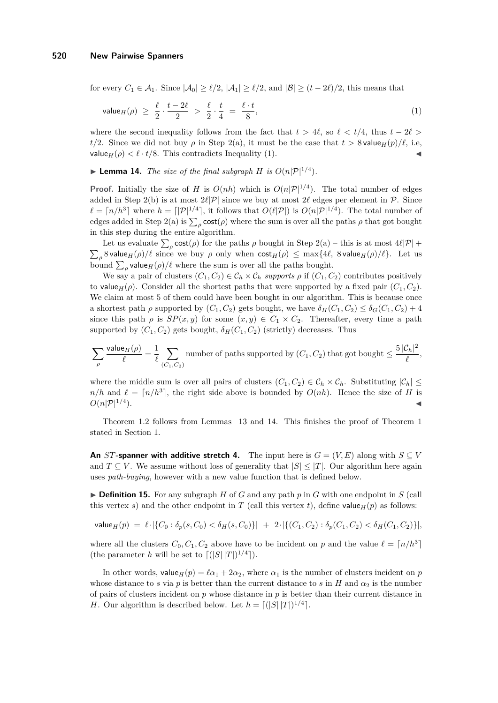for every  $C_1 \in \mathcal{A}_1$ . Since  $|\mathcal{A}_0| \ge \ell/2$ ,  $|\mathcal{A}_1| \ge \ell/2$ , and  $|\mathcal{B}| \ge (t-2\ell)/2$ , this means that

<span id="page-7-0"></span>
$$
\mathsf{value}_H(\rho) \ge \frac{\ell}{2} \cdot \frac{t - 2\ell}{2} > \frac{\ell}{2} \cdot \frac{t}{4} = \frac{\ell \cdot t}{8},\tag{1}
$$

where the second inequality follows from the fact that  $t > 4\ell$ , so  $\ell < t/4$ , thus  $t - 2\ell >$ *t/*2. Since we did not buy *ρ* in Step 2(a), it must be the case that  $t > 8$  value<sub>H</sub>(*p*)/ $\ell$ , i.e. value<sub>H</sub>( $\rho$ )  $\lt \ell \cdot t/8$ . This contradicts Inequality [\(1\)](#page-7-0).

<span id="page-7-1"></span>**Example 14.** *The size of the final subgraph H is*  $O(n|\mathcal{P}|^{1/4})$ *.* 

**Proof.** Initially the size of *H* is  $O(nh)$  which is  $O(n|\mathcal{P}|^{1/4})$ . The total number of edges added in Step 2(b) is at most  $2\ell |\mathcal{P}|$  since we buy at most  $2\ell$  edges per element in P. Since  $\ell = \lceil n/h^3 \rceil$  where  $h = \lceil |\mathcal{P}|^{1/4} \rceil$ , it follows that  $O(\ell |\mathcal{P}|)$  is  $O(n |\mathcal{P}|^{1/4})$ . The total number of edges added in Step 2(a) is  $\sum_{\rho} \text{cost}(\rho)$  where the sum is over all the paths  $\rho$  that got bought in this step during the entire algorithm.

Let us evaluate  $\sum_{\rho} \text{cost}(\rho)$  for the paths  $\rho$  bought in Step 2(a) – this is at most  $4\ell|\mathcal{P}|$  +  $\sum_{\rho}$  8 value<sub>*H*</sub>( $\rho$ )/ $\ell$  since we buy  $\rho$  only when  $\text{cost}_H(\rho) \le \max\{4\ell, 8 \text{ value}_H(\rho)/\ell\}$ . Let us bound  $\sum_{\rho}$  value<sub>*H*</sub>( $\rho$ )/ $\ell$  where the sum is over all the paths bought.

We say a pair of clusters  $(C_1, C_2) \in C_h \times C_h$  supports  $\rho$  if  $(C_1, C_2)$  contributes positively to value<sub>H</sub>( $\rho$ ). Consider all the shortest paths that were supported by a fixed pair  $(C_1, C_2)$ . We claim at most 5 of them could have been bought in our algorithm. This is because once a shortest path *ρ* supported by  $(C_1, C_2)$  gets bought, we have  $\delta_H(C_1, C_2) \leq \delta_G(C_1, C_2) + 4$ since this path  $\rho$  is  $SP(x, y)$  for some  $(x, y) \in C_1 \times C_2$ . Thereafter, every time a path supported by  $(C_1, C_2)$  gets bought,  $\delta_H(C_1, C_2)$  (strictly) decreases. Thus

$$
\sum_{\rho} \frac{\text{value}_H(\rho)}{\ell} = \frac{1}{\ell} \sum_{(C_1, C_2)} \text{number of paths supported by } (C_1, C_2) \text{ that got bought } \leq \frac{5 |\mathcal{C}_h|^2}{\ell},
$$

where the middle sum is over all pairs of clusters  $(C_1, C_2) \in C_h \times C_h$ . Substituting  $|C_h|$  $n/h$  and  $\ell = \lceil n/h^3 \rceil$ , the right side above is bounded by  $O(nh)$ . Hence the size of *H* is  $O(n|\mathcal{P}|^{1/4}).$  $\blacksquare$ ).

Theorem [1.](#page-1-0)2 follows from Lemmas [13](#page-6-2) and [14.](#page-7-1) This finishes the proof of Theorem [1](#page-1-0) stated in Section [1.](#page-0-0)

**An** *ST***-spanner with additive stretch 4.** The input here is  $G = (V, E)$  along with  $S \subseteq V$ and  $T \subseteq V$ . We assume without loss of generality that  $|S| \leq |T|$ . Our algorithm here again uses *path-buying*, however with a new value function that is defined below.

 $\triangleright$  **Definition 15.** For any subgraph *H* of *G* and any path *p* in *G* with one endpoint in *S* (call this vertex *s*) and the other endpoint in *T* (call this vertex *t*), define value<sub>*H*</sub>(*p*) as follows:

$$
\mathsf{value}_H(p) = \ell \cdot |\{C_0 : \delta_p(s, C_0) < \delta_H(s, C_0)\}| + 2 \cdot |\{(C_1, C_2) : \delta_p(C_1, C_2) < \delta_H(C_1, C_2)\}|,
$$

where all the clusters  $C_0, C_1, C_2$  above have to be incident on *p* and the value  $\ell = \lceil n/h^3 \rceil$ (the parameter *h* will be set to  $\lfloor (|S| |T|)^{1/4} \rfloor$ ).

In other words, value<sub>*H*</sub>(*p*) =  $\ell \alpha_1 + 2\alpha_2$ , where  $\alpha_1$  is the number of clusters incident on *p* whose distance to *s* via *p* is better than the current distance to *s* in *H* and  $\alpha_2$  is the number of pairs of clusters incident on *p* whose distance in *p* is better than their current distance in *H*. Our algorithm is described below. Let  $h = \lfloor (|S| |T|)^{1/4} \rfloor$ .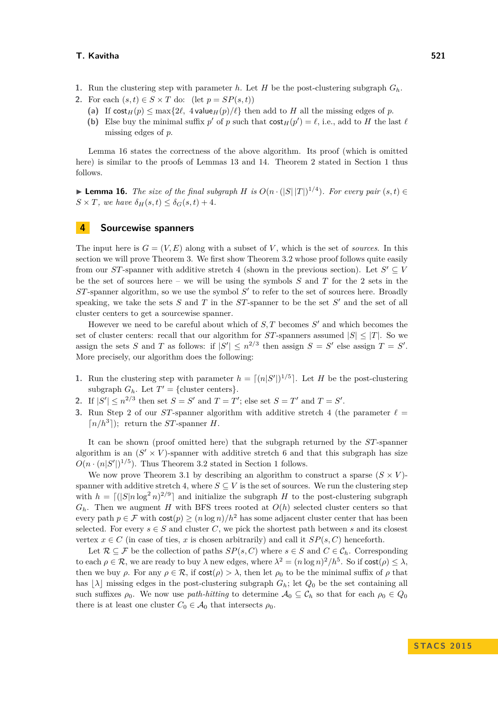#### **T. Kavitha 521**

- **1.** Run the clustering step with parameter *h*. Let *H* be the post-clustering subgraph  $G_h$ .
- **2.** For each  $(s,t) \in S \times T$  do:  $(\text{let } p = SP(s,t))$ 
	- (a) If  $\cosh H(p) \le \max\{2\ell, 4$  value $\ln(p)/\ell\}$  then add to *H* all the missing edges of *p*.
	- **(b)** Else buy the minimal suffix  $p'$  of  $p$  such that  $\text{cost}_H(p') = \ell$ , i.e., add to  $H$  the last  $\ell$ missing edges of *p*.

Lemma [16](#page-8-1) states the correctness of the above algorithm. Its proof (which is omitted here) is similar to the proofs of Lemmas [13](#page-6-2) and [14.](#page-7-1) Theorem [2](#page-1-2) stated in Section [1](#page-0-0) thus follows.

<span id="page-8-1"></span>▶ **Lemma 16.** *The size of the final subgraph H is*  $O(n \cdot (|S||T|)^{1/4})$ *. For every pair*  $(s, t) \in$  $S \times T$ *, we have*  $\delta_H(s,t) \leq \delta_G(s,t) + 4$ *.* 

## <span id="page-8-0"></span>**4 Sourcewise spanners**

The input here is  $G = (V, E)$  along with a subset of *V*, which is the set of *sources*. In this section we will prove Theorem [3.](#page-1-3) We first show Theorem [3.](#page-1-3)2 whose proof follows quite easily from our *ST*-spanner with additive stretch 4 (shown in the previous section). Let  $S' \subseteq V$ be the set of sources here – we will be using the symbols *S* and *T* for the 2 sets in the  $ST$ -spanner algorithm, so we use the symbol  $S'$  to refer to the set of sources here. Broadly speaking, we take the sets  $S$  and  $T$  in the  $ST$ -spanner to be the set  $S'$  and the set of all cluster centers to get a sourcewise spanner.

However we need to be careful about which of  $S$ ,  $T$  becomes  $S'$  and which becomes the set of cluster centers: recall that our algorithm for  $ST$ -spanners assumed  $|S| \leq |T|$ . So we assign the sets *S* and *T* as follows: if  $|S'| \leq n^{2/3}$  then assign  $S = S'$  else assign  $T = S'$ . More precisely, our algorithm does the following:

- **1.** Run the clustering step with parameter  $h = \lfloor (n|S'|)^{1/5} \rfloor$ . Let *H* be the post-clustering subgraph  $G_h$ . Let  $T' = \{\text{cluster centers}\}.$
- **2.** If  $|S'| \le n^{2/3}$  then set  $S = S'$  and  $T = T'$ ; else set  $S = T'$  and  $T = S'$ .
- **3.** Run Step 2 of our *ST*-spanner algorithm with additive stretch 4 (the parameter  $\ell =$  $\lceil n/h^3 \rceil$ ; return the *ST*-spanner *H*.

It can be shown (proof omitted here) that the subgraph returned by the *ST*-spanner algorithm is an  $(S' \times V)$ -spanner with additive stretch 6 and that this subgraph has size  $O(n \cdot (n|S'|)^{1/5})$ . Thus Theorem [3.](#page-1-3)2 stated in Section [1](#page-0-0) follows.

We now prove Theorem [3.](#page-1-3)1 by describing an algorithm to construct a sparse  $(S \times V)$ spanner with additive stretch 4, where  $S \subseteq V$  is the set of sources. We run the clustering step with  $h = \lfloor (|S|n \log^2 n)^{2/9} \rfloor$  and initialize the subgraph *H* to the post-clustering subgraph  $G_h$ . Then we augment *H* with BFS trees rooted at  $O(h)$  selected cluster centers so that every path  $p \in \mathcal{F}$  with  $\cosh(p) \geq (n \log n)/h^2$  has some adjacent cluster center that has been selected. For every  $s \in S$  and cluster C, we pick the shortest path between *s* and its closest vertex  $x \in C$  (in case of ties, *x* is chosen arbitrarily) and call it  $SP(s, C)$  henceforth.

Let  $\mathcal{R} \subseteq \mathcal{F}$  be the collection of paths  $SP(s, C)$  where  $s \in S$  and  $C \in \mathcal{C}_h$ . Corresponding to each  $\rho \in \mathcal{R}$ , we are ready to buy  $\lambda$  new edges, where  $\lambda^2 = (n \log n)^2 / h^5$ . So if  $\cos(\rho) \leq \lambda$ , then we buy *ρ*. For any  $\rho \in \mathcal{R}$ , if  $\text{cost}(\rho) > \lambda$ , then let  $\rho_0$  to be the minimal suffix of  $\rho$  that has  $|\lambda|$  missing edges in the post-clustering subgraph  $G_h$ ; let  $Q_0$  be the set containing all such suffixes  $\rho_0$ . We now use *path-hitting* to determine  $\mathcal{A}_0 \subseteq \mathcal{C}_h$  so that for each  $\rho_0 \in \mathcal{Q}_0$ there is at least one cluster  $C_0 \in \mathcal{A}_0$  that intersects  $\rho_0$ .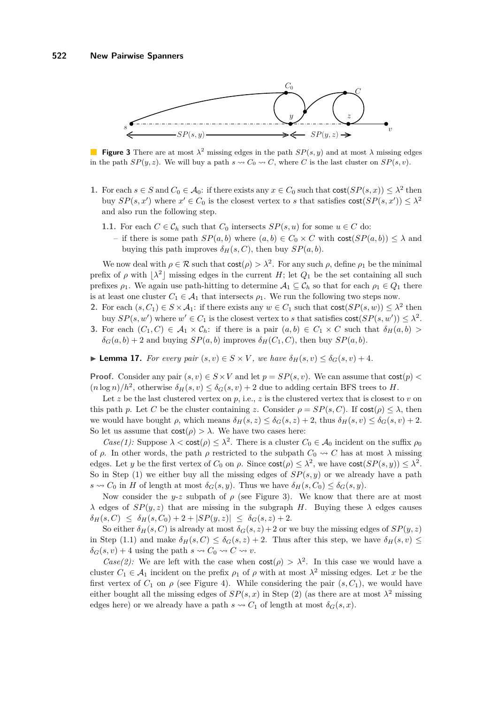<span id="page-9-0"></span>

**Figure 3** There are at most  $\lambda^2$  missing edges in the path  $SP(s, y)$  and at most  $\lambda$  missing edges in the path  $SP(y, z)$ . We will buy a path  $s \rightsquigarrow C_0 \rightsquigarrow C$ , where *C* is the last cluster on  $SP(s, v)$ .

- **1.** For each  $s \in S$  and  $C_0 \in A_0$ : if there exists any  $x \in C_0$  such that  $\text{cost}(SP(s, x)) \leq \lambda^2$  then buy  $SP(s, x')$  where  $x' \in C_0$  is the closest vertex to *s* that satisfies  $cost(SP(s, x')) \leq \lambda^2$ and also run the following step.
	- **1.1.** For each  $C \in \mathcal{C}_h$  such that  $C_0$  intersects  $SP(s, u)$  for some  $u \in C$  do:
		- if there is some path  $SP(a, b)$  where  $(a, b) \in C_0 \times C$  with  $cost(SP(a, b)) \leq \lambda$  and buying this path improves  $\delta_H(s, C)$ , then buy  $SP(a, b)$ .

We now deal with  $\rho \in \mathcal{R}$  such that  $\cos t(\rho) > \lambda^2$ . For any such  $\rho$ , define  $\rho_1$  be the minimal prefix of  $\rho$  with  $\lambda^2$  missing edges in the current *H*; let  $Q_1$  be the set containing all such prefixes  $\rho_1$ . We again use path-hitting to determine  $A_1 \subseteq C_h$  so that for each  $\rho_1 \in Q_1$  there is at least one cluster  $C_1 \in \mathcal{A}_1$  that intersects  $\rho_1$ . We run the following two steps now.

- **2.** For each  $(s, C_1) \in S \times A_1$ : if there exists any  $w \in C_1$  such that  $\text{cost}(SP(s, w)) \leq \lambda^2$  then buy  $SP(s, w')$  where  $w' \in C_1$  is the closest vertex to *s* that satisfies  $cost(SP(s, w')) \leq \lambda^2$ .
- **3.** For each  $(C_1, C) \in \mathcal{A}_1 \times \mathcal{C}_h$ : if there is a pair  $(a, b) \in C_1 \times C$  such that  $\delta_H(a, b)$  $\delta_G(a, b) + 2$  and buying  $SP(a, b)$  improves  $\delta_H(C_1, C)$ , then buy  $SP(a, b)$ .

<span id="page-9-1"></span>► **Lemma 17.** *For every pair*  $(s, v) \in S \times V$ *, we have*  $\delta_H(s, v) \leq \delta_G(s, v) + 4$ *.* 

**Proof.** Consider any pair  $(s, v) \in S \times V$  and let  $p = SP(s, v)$ . We can assume that  $cost(p)$  $(n \log n)/h^2$ , otherwise  $\delta_H(s, v) \leq \delta_G(s, v) + 2$  due to adding certain BFS trees to *H*.

Let  $z$  be the last clustered vertex on  $p$ , i.e.,  $z$  is the clustered vertex that is closest to  $v$  on this path *p*. Let *C* be the cluster containing *z*. Consider  $\rho = SP(s, C)$ . If  $cost(\rho) \leq \lambda$ , then we would have bought  $\rho$ , which means  $\delta_H(s, z) \leq \delta_G(s, z) + 2$ , thus  $\delta_H(s, v) \leq \delta_G(s, v) + 2$ . So let us assume that  $cost(\rho) > \lambda$ . We have two cases here:

*Case(1):* Suppose  $\lambda < \text{cost}(\rho) \leq \lambda^2$ . There is a cluster  $C_0 \in \mathcal{A}_0$  incident on the suffix  $\rho_0$ of  $\rho$ . In other words, the path  $\rho$  restricted to the subpath  $C_0 \rightsquigarrow C$  has at most  $\lambda$  missing edges. Let *y* be the first vertex of  $C_0$  on  $\rho$ . Since  $\text{cost}(\rho) \leq \lambda^2$ , we have  $\text{cost}(SP(s, y)) \leq \lambda^2$ . So in Step (1) we either buy all the missing edges of *SP*(*s, y*) or we already have a path  $s \rightsquigarrow C_0$  in *H* of length at most  $\delta_G(s, y)$ . Thus we have  $\delta_H(s, C_0) \leq \delta_G(s, y)$ .

Now consider the *y-z* subpath of  $\rho$  (see Figure [3\)](#page-9-0). We know that there are at most *λ* edges of  $SP(y, z)$  that are missing in the subgraph *H*. Buying these *λ* edges causes  $\delta_H(s, C) \leq \delta_H(s, C_0) + 2 + |SP(y, z)| \leq \delta_G(s, z) + 2.$ 

So either  $\delta_H(s, C)$  is already at most  $\delta_G(s, z) + 2$  or we buy the missing edges of  $SP(y, z)$ in Step (1.1) and make  $\delta_H(s, C) \leq \delta_G(s, z) + 2$ . Thus after this step, we have  $\delta_H(s, v) \leq$  $\delta_G(s, v) + 4$  using the path  $s \rightsquigarrow C_0 \rightsquigarrow C \rightsquigarrow v$ .

*Case(2):* We are left with the case when  $cost(\rho) > \lambda^2$ . In this case we would have a cluster  $C_1 \in \mathcal{A}_1$  incident on the prefix  $\rho_1$  of  $\rho$  with at most  $\lambda^2$  missing edges. Let x be the first vertex of  $C_1$  on  $\rho$  (see Figure [4\)](#page-10-1). While considering the pair  $(s, C_1)$ , we would have either bought all the missing edges of  $SP(s, x)$  in Step (2) (as there are at most  $\lambda^2$  missing edges here) or we already have a path  $s \sim C_1$  of length at most  $\delta_G(s, x)$ .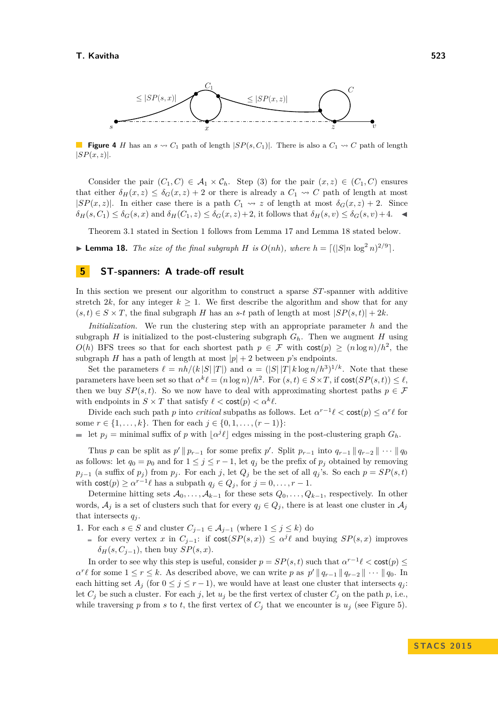<span id="page-10-1"></span>

**Figure 4** *H* has an  $s \sim C_1$  path of length  $|SP(s, C_1)|$ . There is also a  $C_1 \sim C$  path of length  $|SP(x, z)|$ .

Consider the pair  $(C_1, C) \in \mathcal{A}_1 \times \mathcal{C}_h$ . Step (3) for the pair  $(x, z) \in (C_1, C)$  ensures that either  $\delta_H(x, z) \leq \delta_G(x, z) + 2$  or there is already a  $C_1 \rightsquigarrow C$  path of length at most |*SP*(*x, z*)|. In either case there is a path  $C_1 \rightsquigarrow z$  of length at most  $\delta_G(x, z) + 2$ . Since  $\delta_H(s, C_1) \leq \delta_G(s, x)$  and  $\delta_H(C_1, z) \leq \delta_G(x, z) + 2$ , it follows that  $\delta_H(s, v) \leq \delta_G(s, v) + 4$ .

Theorem [3.](#page-1-3)1 stated in Section [1](#page-0-0) follows from Lemma [17](#page-9-1) and Lemma [18](#page-10-2) stated below.

<span id="page-10-2"></span>**Example 18.** *The size of the final subgraph H is*  $O(nh)$ *, where*  $h = \lfloor (|S|n \log^2 n)^{2/9} \rfloor$ *.* 

### <span id="page-10-0"></span>**5 ST-spanners: A trade-off result**

In this section we present our algorithm to construct a sparse *ST*-spanner with additive stretch 2*k*, for any integer  $k \geq 1$ . We first describe the algorithm and show that for any  $(s, t) \in S \times T$ , the final subgraph *H* has an *s*-*t* path of length at most  $|SP(s, t)| + 2k$ .

*Initialization.* We run the clustering step with an appropriate parameter *h* and the subgraph *H* is initialized to the post-clustering subgraph  $G_h$ . Then we augment *H* using *O*(*h*) BFS trees so that for each shortest path  $p \in \mathcal{F}$  with  $\text{cost}(p) \geq (n \log n)/h^2$ , the subgraph *H* has a path of length at most  $|p| + 2$  between *p*'s endpoints.

Set the parameters  $\ell = nh/(k |S| |T|)$  and  $\alpha = (|S| |T| k \log n / h^3)^{1/k}$ . Note that these parameters have been set so that  $\alpha^k \ell = (n \log n)/h^2$ . For  $(s, t) \in S \times T$ , if  $\text{cost}(SP(s, t)) \leq \ell$ , then we buy  $SP(s,t)$ . So we now have to deal with approximating shortest paths  $p \in \mathcal{F}$ with endpoints in  $S \times T$  that satisfy  $\ell < \text{cost}(p) < \alpha^k \ell$ .

Divide each such path *p* into *critical* subpaths as follows. Let  $\alpha^{r-1}\ell < \text{cost}(p) \leq \alpha^r\ell$  for some  $r \in \{1, \ldots, k\}$ . Then for each  $j \in \{0, 1, \ldots, (r-1)\}$ :

let  $p_j$  = minimal suffix of *p* with  $\lfloor \alpha^j \ell \rfloor$  edges missing in the post-clustering graph  $G_h$ .

Thus *p* can be split as  $p' \parallel p_{r-1}$  for some prefix  $p'$ . Split  $p_{r-1}$  into  $q_{r-1} \parallel q_{r-2} \parallel \cdots \parallel q_0$ as follows: let  $q_0 = p_0$  and for  $1 \leq j \leq r-1$ , let  $q_j$  be the prefix of  $p_j$  obtained by removing *p*<sub>*j*−1</sub> (a suffix of *p*<sub>*j*</sub>) from *p*<sub>*j*</sub>. For each *j*, let *Q*<sub>*j*</sub> be the set of all *q*<sub>j</sub>'s. So each *p* =  $SP(s,t)$ with  $\text{cost}(p) \geq \alpha^{r-1}\ell$  has a subpath  $q_j \in Q_j$ , for  $j = 0, \ldots, r-1$ .

Determine hitting sets  $A_0, \ldots, A_{k-1}$  for these sets  $Q_0, \ldots, Q_{k-1}$ , respectively. In other words,  $A_j$  is a set of clusters such that for every  $q_j \in Q_j$ , there is at least one cluster in  $A_j$ that intersects  $q_j$ .

- **1.** For each *s* ∈ *S* and cluster  $C_{j-1}$  ∈  $A_{j-1}$  (where  $1 \leq j \leq k$ ) do
	- for every vertex *x* in  $C_{j-1}$ : if  $cost(SP(s,x)) \leq \alpha^{j}\ell$  and buying  $SP(s,x)$  improves  $\delta$ <sup>*H*</sup>(*s*, *C*<sub>*j*−1</sub>), then buy *SP*(*s*, *x*).

In order to see why this step is useful, consider  $p = SP(s, t)$  such that  $\alpha^{r-1}\ell < \text{cost}(p) \le$  $a^r \ell$  for some  $1 \le r \le k$ . As described above, we can write *p* as  $p' || q_{r-1} || q_{r-2} || \cdots || q_0$ . In each hitting set  $A_j$  (for  $0 \leq j \leq r-1$ ), we would have at least one cluster that intersects  $q_j$ : let  $C_j$  be such a cluster. For each *j*, let  $u_j$  be the first vertex of cluster  $C_j$  on the path  $p$ , i.e., while traversing *p* from *s* to *t*, the first vertex of  $C_j$  that we encounter is  $u_j$  (see Figure [5\)](#page-11-0).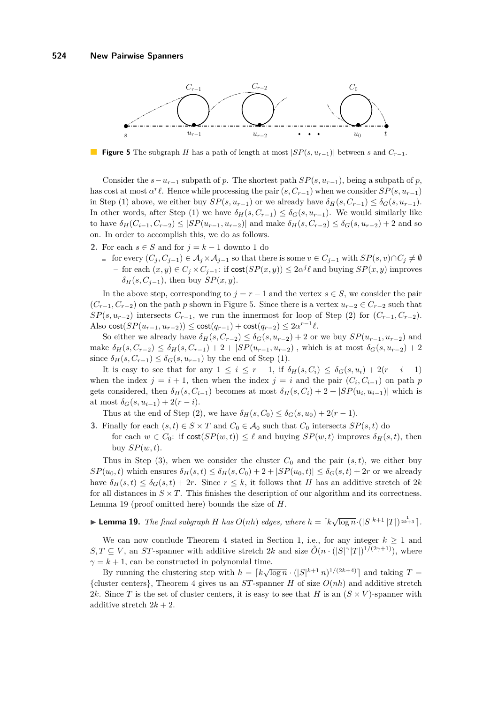<span id="page-11-0"></span>

**Figure 5** The subgraph *H* has a path of length at most  $|SP(s, u_{r-1})|$  between *s* and  $C_{r-1}$ .

Consider the  $s - u_{r-1}$  subpath of *p*. The shortest path  $SP(s, u_{r-1})$ , being a subpath of *p*, has cost at most  $\alpha^r \ell$ . Hence while processing the pair  $(s, C_{r-1})$  when we consider  $SP(s, u_{r-1})$ in Step (1) above, we either buy  $SP(s, u_{r-1})$  or we already have  $\delta_H(s, C_{r-1}) \leq \delta_G(s, u_{r-1})$ . In other words, after Step (1) we have  $\delta_H(s, C_{r-1}) \leq \delta_G(s, u_{r-1})$ . We would similarly like  $\delta$ *H*(*C*<sub>*i*</sub>−1</sub>*, C<sub><i>r*−2</sub>) ≤ |*SP*(*u*<sub>*r*−1</sub>*, u<sub>r</sub>*−2)| and make  $\delta$ <sub>*H*</sub>(*s*, *C<sub><i>r*−2</sub>) ≤  $\delta$ <sub>*G*</sub>(*s*, *u<sub>r</sub>*−2) + 2 and so on. In order to accomplish this, we do as follows.

- **2.** For each *s* ∈ *S* and for  $j = k 1$  downto 1 do
	- for every  $(C_i, C_{i-1}) \in \mathcal{A}_i \times \mathcal{A}_{i-1}$  so that there is some  $v \in C_{i-1}$  with  $SP(s, v) \cap C_i \neq \emptyset$  $-$  for each  $(x, y) \in C_j \times C_{j-1}$ : if cost $(SP(x, y)) ≤ 2\alpha^j \ell$  and buying  $SP(x, y)$  improves  $\delta$ <sup>*H*</sup>(*s*, *C*<sub>*j*−1</sub>), then buy *SP*(*x, y*).

In the above step, corresponding to  $j = r - 1$  and the vertex  $s \in S$ , we consider the pair  $(C_{r-1}, C_{r-2})$  on the path *p* shown in Figure [5.](#page-11-0) Since there is a vertex  $u_{r-2} \in C_{r-2}$  such that  $SP(s, u_{r-2})$  intersects  $C_{r-1}$ , we run the innermost for loop of Step (2) for  $(C_{r-1}, C_{r-2})$ . Also  $\text{cost}(SP(u_{r-1}, u_{r-2})) \leq \text{cost}(q_{r-1}) + \text{cost}(q_{r-2}) \leq 2\alpha^{r-1}\ell$ .

So either we already have  $\delta_H(s, C_{r-2}) \leq \delta_G(s, u_{r-2}) + 2$  or we buy  $SP(u_{r-1}, u_{r-2})$  and make  $δ$ *H*( $s, C$ <sup>*r*</sup>−2) ≤  $δ$ *H*( $s, C$ <sup>*r*</sup>−1) + 2 + |*SP*( $u$ <sup>*r*</sup>−1*,*  $u$ <sup>*r*</sup><sub>*r*−2</sub>)|, which is at most  $δ$ <sup>*G*</sup>( $s, u$ <sup>*r*</sup>−2) + 2 since  $\delta_H(s, C_{r-1}) \leq \delta_G(s, u_{r-1})$  by the end of Step (1).

It is easy to see that for any  $1 \leq i \leq r-1$ , if  $\delta_H(s, C_i) \leq \delta_G(s, u_i) + 2(r - i - 1)$ when the index  $j = i + 1$ , then when the index  $j = i$  and the pair  $(C_i, C_{i-1})$  on path  $p$ gets considered, then  $\delta_H(s, C_{i-1})$  becomes at most  $\delta_H(s, C_i) + 2 + |SP(u_i, u_{i-1})|$  which is at most  $\delta_G(s, u_{i-1}) + 2(r - i)$ .

Thus at the end of Step (2), we have  $\delta_H(s, C_0) \leq \delta_G(s, u_0) + 2(r - 1)$ .

- **3.** Finally for each  $(s, t) \in S \times T$  and  $C_0 \in A_0$  such that  $C_0$  intersects  $SP(s, t)$  do
	- $−$  for each *w* ∈ *C*<sub>0</sub>: if cost(*SP*(*w, t*)) ≤  $\ell$  and buying *SP*(*w, t*) improves  $\delta$ *H*(*s, t*), then buy  $SP(w, t)$ .

Thus in Step (3), when we consider the cluster  $C_0$  and the pair  $(s, t)$ , we either buy  $SP(u_0, t)$  which ensures  $\delta_H(s, t) \leq \delta_H(s, C_0) + 2 + |SP(u_0, t)| \leq \delta_G(s, t) + 2r$  or we already have  $\delta_H(s,t) \leq \delta_G(s,t) + 2r$ . Since  $r \leq k$ , it follows that *H* has an additive stretch of 2*k* for all distances in  $S \times T$ . This finishes the description of our algorithm and its correctness. Lemma [19](#page-11-1) (proof omitted here) bounds the size of *H*.

# <span id="page-11-1"></span>► **Lemma 19.** *The final subgraph H has*  $O(nh)$  *edges, where*  $h = \lceil k\sqrt{\log n} \cdot (|S|^{k+1} |T|)^{\frac{1}{2k+3}} \rceil$ .

We can now conclude Theorem [4](#page-1-1) stated in Section [1,](#page-0-0) i.e., for any integer  $k \geq 1$  and  $S, T \subseteq V$ , an *ST*-spanner with additive stretch 2*k* and size  $\tilde{O}(n \cdot (|S|^\gamma |T|)^{1/(2\gamma+1)})$ , where  $\gamma = k + 1$ , can be constructed in polynomial time.

By running the clustering step with  $h = \lceil k \sqrt{\log n} \cdot (|S|^{k+1} n)^{1/(2k+4)} \rceil$  and taking  $T =$ {cluster centers}, Theorem [4](#page-1-1) gives us an *ST*-spanner *H* of size *O*(*nh*) and additive stretch 2*k*. Since *T* is the set of cluster centers, it is easy to see that *H* is an  $(S \times V)$ -spanner with additive stretch  $2k + 2$ .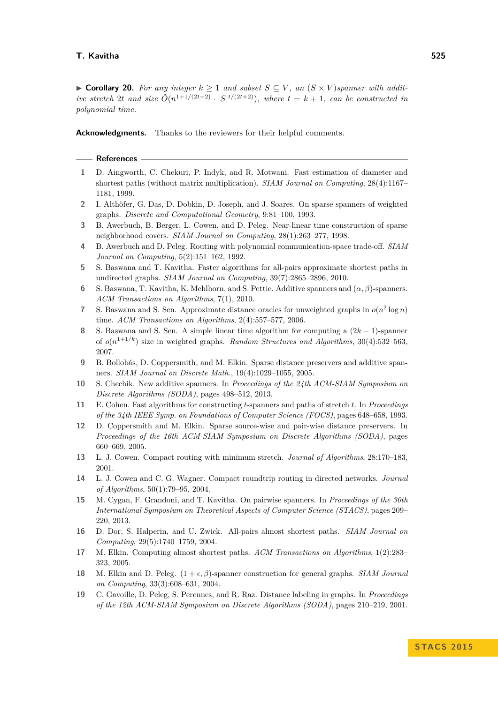#### **T. Kavitha 525**

▶ **Corollary 20.** *For any integer*  $k \ge 1$  *and subset*  $S \subseteq V$ , *an*  $(S \times V)$  *spanner with additive stretch* 2*t and size*  $\tilde{O}(n^{1+1/(2t+2)} \cdot |S|^{t/(2t+2)})$ *, where*  $t = k + 1$ *, can be constructed in polynomial time.*

**Acknowledgments.** Thanks to the reviewers for their helpful comments.

#### **References**

- <span id="page-12-0"></span>**1** D. Aingworth, C. Chekuri, P. Indyk, and R. Motwani. Fast estimation of diameter and shortest paths (without matrix multiplication). *SIAM Journal on Computing*, 28(4):1167– 1181, 1999.
- <span id="page-12-5"></span>**2** I. Althöfer, G. Das, D. Dobkin, D. Joseph, and J. Soares. On sparse spanners of weighted graphs. *Discrete and Computational Geometry*, 9:81–100, 1993.
- <span id="page-12-7"></span>**3** B. Awerbuch, B. Berger, L. Cowen, and D. Peleg. Near-linear time construction of sparse neighborhood covers. *SIAM Journal on Computing*, 28(1):263–277, 1998.
- <span id="page-12-13"></span>**4** B. Awerbuch and D. Peleg. Routing with polynomial communication-space trade-off. *SIAM Journal on Computing*, 5(2):151–162, 1992.
- <span id="page-12-11"></span>**5** S. Baswana and T. Kavitha. Faster algorithms for all-pairs approximate shortest paths in undirected graphs. *SIAM Journal on Computing*, 39(7):2865–2896, 2010.
- <span id="page-12-2"></span>**6** S. Baswana, T. Kavitha, K. Mehlhorn, and S. Pettie. Additive spanners and (*α, β*)-spanners. *ACM Transactions on Algorithms*, 7(1), 2010.
- <span id="page-12-10"></span>**7** S. Baswana and S. Sen. Approximate distance oracles for unweighted graphs in  $o(n^2 \log n)$ time. *ACM Transactions on Algorithms*, 2(4):557–577, 2006.
- <span id="page-12-6"></span>**8** S. Baswana and S. Sen. A simple linear time algorithm for computing a (2*k* − 1)-spanner of  $o(n^{1+1/k})$  size in weighted graphs. *Random Structures and Algorithms*, 30(4):532–563, 2007.
- <span id="page-12-18"></span>**9** B. Bollobás, D. Coppersmith, and M. Elkin. Sparse distance preservers and additive spanners. *SIAM Journal on Discrete Math.*, 19(4):1029–1055, 2005.
- <span id="page-12-1"></span>**10** S. Chechik. New additive spanners. In *Proceedings of the 24th ACM-SIAM Symposium on Discrete Algorithms (SODA)*, pages 498–512, 2013.
- <span id="page-12-8"></span>**11** E. Cohen. Fast algorithms for constructing *t*-spanners and paths of stretch *t*. In *Proceedings of the 34th IEEE Symp. on Foundations of Computer Science (FOCS)*, pages 648–658, 1993.
- <span id="page-12-3"></span>**12** D. Coppersmith and M. Elkin. Sparse source-wise and pair-wise distance preservers. In *Proceedings of the 16th ACM-SIAM Symposium on Discrete Algorithms (SODA)*, pages 660–669, 2005.
- <span id="page-12-14"></span>**13** L. J. Cowen. Compact routing with minimum stretch. *Journal of Algorithms*, 28:170–183, 2001.
- <span id="page-12-15"></span>**14** L. J. Cowen and C. G. Wagner. Compact roundtrip routing in directed networks. *Journal of Algorithms*, 50(1):79–95, 2004.
- <span id="page-12-4"></span>**15** M. Cygan, F. Grandoni, and T. Kavitha. On pairwise spanners. In *Proceedings of the 30th International Symposium on Theoretical Aspects of Computer Science (STACS)*, pages 209– 220, 2013.
- <span id="page-12-16"></span>**16** D. Dor, S. Halperin, and U. Zwick. All-pairs almost shortest paths. *SIAM Journal on Computing*, 29(5):1740–1759, 2004.
- <span id="page-12-9"></span>**17** M. Elkin. Computing almost shortest paths. *ACM Transactions on Algorithms*, 1(2):283– 323, 2005.
- <span id="page-12-17"></span>**18** M. Elkin and D. Peleg.  $(1 + \epsilon, \beta)$ -spanner construction for general graphs. *SIAM Journal on Computing*, 33(3):608–631, 2004.
- <span id="page-12-12"></span>**19** C. Gavoille, D. Peleg, S. Perennes, and R. Raz. Distance labeling in graphs. In *Proceedings of the 12th ACM-SIAM Symposium on Discrete Algorithms (SODA)*, pages 210–219, 2001.